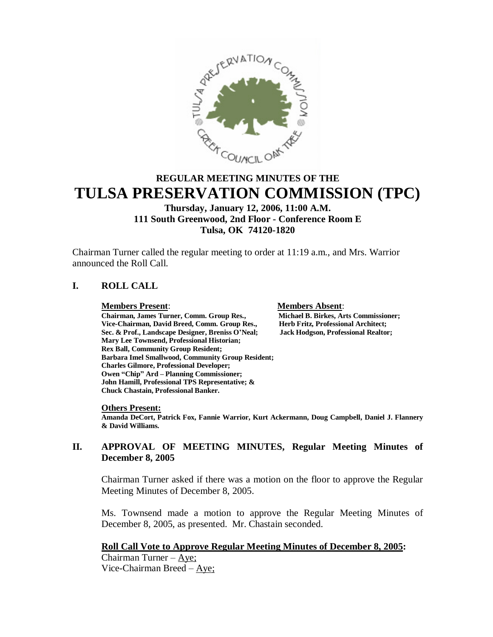

# **REGULAR MEETING MINUTES OF THE TULSA PRESERVATION COMMISSION (TPC)**

# **Thursday, January 12, 2006, 11:00 A.M. 111 South Greenwood, 2nd Floor - Conference Room E Tulsa, OK 74120-1820**

Chairman Turner called the regular meeting to order at 11:19 a.m., and Mrs. Warrior announced the Roll Call.

# **I. ROLL CALL**

**Members Present**: **Members Absent**: **Chairman, James Turner, Comm. Group Res., Michael B. Birkes, Arts Commission<br>Vice-Chairman, David Breed, Comm. Group Res., Herb Fritz, Professional Architect;** Vice-Chairman, David Breed, Comm. Group Res., **Sec. & Prof., Landscape Designer, Breniss O'Neal; Jack Hodgson, Professional Realtor; Mary Lee Townsend, Professional Historian; Rex Ball, Community Group Resident; Barbara Imel Smallwood, Community Group Resident; Charles Gilmore, Professional Developer; Owen "Chip" Ard – Planning Commissioner; John Hamill, Professional TPS Representative; & Chuck Chastain, Professional Banker.**

#### **Others Present:**

**Amanda DeCort, Patrick Fox, Fannie Warrior, Kurt Ackermann, Doug Campbell, Daniel J. Flannery & David Williams.**

# **II. APPROVAL OF MEETING MINUTES, Regular Meeting Minutes of December 8, 2005**

Chairman Turner asked if there was a motion on the floor to approve the Regular Meeting Minutes of December 8, 2005.

Ms. Townsend made a motion to approve the Regular Meeting Minutes of December 8, 2005, as presented. Mr. Chastain seconded.

# **Roll Call Vote to Approve Regular Meeting Minutes of December 8, 2005:**

Chairman Turner –  $Aye$ ; Vice-Chairman Breed –  $\Delta$ ye;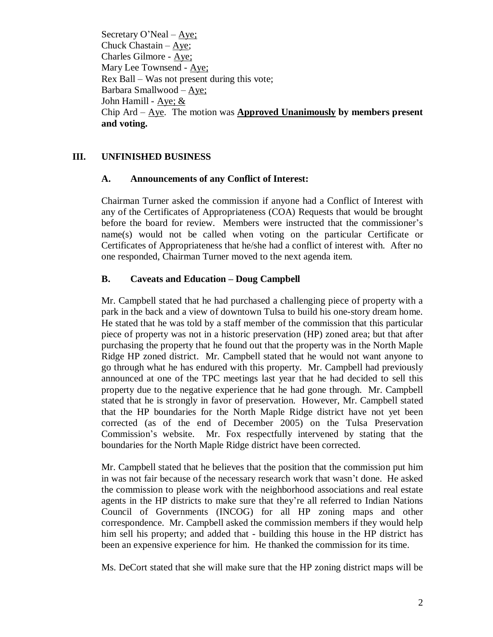Secretary O'Neal –  $\angle$ Aye; Chuck Chastain –Aye; Charles Gilmore - Aye; Mary Lee Townsend - Aye; Rex Ball – Was not present during this vote; Barbara Smallwood –Aye; John Hamill - Aye; & Chip Ard –Aye. The motion was **Approved Unanimously by members present and voting.**

# **III. UNFINISHED BUSINESS**

### **A. Announcements of any Conflict of Interest:**

Chairman Turner asked the commission if anyone had a Conflict of Interest with any of the Certificates of Appropriateness (COA) Requests that would be brought before the board for review. Members were instructed that the commissioner's name(s) would not be called when voting on the particular Certificate or Certificates of Appropriateness that he/she had a conflict of interest with. After no one responded, Chairman Turner moved to the next agenda item.

# **B. Caveats and Education – Doug Campbell**

Mr. Campbell stated that he had purchased a challenging piece of property with a park in the back and a view of downtown Tulsa to build his one-story dream home. He stated that he was told by a staff member of the commission that this particular piece of property was not in a historic preservation (HP) zoned area; but that after purchasing the property that he found out that the property was in the North Maple Ridge HP zoned district. Mr. Campbell stated that he would not want anyone to go through what he has endured with this property. Mr. Campbell had previously announced at one of the TPC meetings last year that he had decided to sell this property due to the negative experience that he had gone through. Mr. Campbell stated that he is strongly in favor of preservation. However, Mr. Campbell stated that the HP boundaries for the North Maple Ridge district have not yet been corrected (as of the end of December 2005) on the Tulsa Preservation Commission's website. Mr. Fox respectfully intervened by stating that the boundaries for the North Maple Ridge district have been corrected.

Mr. Campbell stated that he believes that the position that the commission put him in was not fair because of the necessary research work that wasn't done. He asked the commission to please work with the neighborhood associations and real estate agents in the HP districts to make sure that they're all referred to Indian Nations Council of Governments (INCOG) for all HP zoning maps and other correspondence. Mr. Campbell asked the commission members if they would help him sell his property; and added that - building this house in the HP district has been an expensive experience for him. He thanked the commission for its time.

Ms. DeCort stated that she will make sure that the HP zoning district maps will be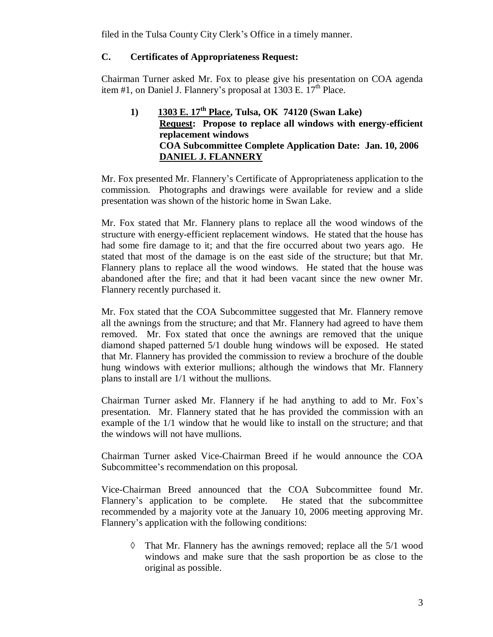filed in the Tulsa County City Clerk's Office in a timely manner.

# **C. Certificates of Appropriateness Request:**

Chairman Turner asked Mr. Fox to please give his presentation on COA agenda item #1, on Daniel J. Flannery's proposal at  $1303$  E.  $17<sup>th</sup>$  Place.

# **1) 1303 E. 17th Place, Tulsa, OK 74120 (Swan Lake) Request: Propose to replace all windows with energy-efficient replacement windows COA Subcommittee Complete Application Date: Jan. 10, 2006 DANIEL J. FLANNERY**

Mr. Fox presented Mr. Flannery's Certificate of Appropriateness application to the commission. Photographs and drawings were available for review and a slide presentation was shown of the historic home in Swan Lake.

Mr. Fox stated that Mr. Flannery plans to replace all the wood windows of the structure with energy-efficient replacement windows. He stated that the house has had some fire damage to it; and that the fire occurred about two years ago. He stated that most of the damage is on the east side of the structure; but that Mr. Flannery plans to replace all the wood windows. He stated that the house was abandoned after the fire; and that it had been vacant since the new owner Mr. Flannery recently purchased it.

Mr. Fox stated that the COA Subcommittee suggested that Mr. Flannery remove all the awnings from the structure; and that Mr. Flannery had agreed to have them removed. Mr. Fox stated that once the awnings are removed that the unique diamond shaped patterned 5/1 double hung windows will be exposed. He stated that Mr. Flannery has provided the commission to review a brochure of the double hung windows with exterior mullions; although the windows that Mr. Flannery plans to install are 1/1 without the mullions.

Chairman Turner asked Mr. Flannery if he had anything to add to Mr. Fox's presentation. Mr. Flannery stated that he has provided the commission with an example of the 1/1 window that he would like to install on the structure; and that the windows will not have mullions.

Chairman Turner asked Vice-Chairman Breed if he would announce the COA Subcommittee's recommendation on this proposal.

Vice-Chairman Breed announced that the COA Subcommittee found Mr. Flannery's application to be complete. He stated that the subcommittee recommended by a majority vote at the January 10, 2006 meeting approving Mr. Flannery's application with the following conditions:

 $\Diamond$  That Mr. Flannery has the awnings removed; replace all the 5/1 wood windows and make sure that the sash proportion be as close to the original as possible.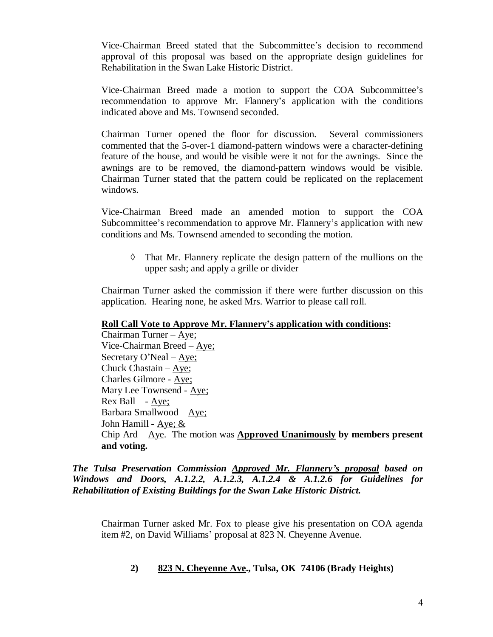Vice-Chairman Breed stated that the Subcommittee's decision to recommend approval of this proposal was based on the appropriate design guidelines for Rehabilitation in the Swan Lake Historic District.

Vice-Chairman Breed made a motion to support the COA Subcommittee's recommendation to approve Mr. Flannery's application with the conditions indicated above and Ms. Townsend seconded.

Chairman Turner opened the floor for discussion. Several commissioners commented that the 5-over-1 diamond-pattern windows were a character-defining feature of the house, and would be visible were it not for the awnings. Since the awnings are to be removed, the diamond-pattern windows would be visible. Chairman Turner stated that the pattern could be replicated on the replacement windows.

Vice-Chairman Breed made an amended motion to support the COA Subcommittee's recommendation to approve Mr. Flannery's application with new conditions and Ms. Townsend amended to seconding the motion.

 $\Diamond$  That Mr. Flannery replicate the design pattern of the mullions on the upper sash; and apply a grille or divider

Chairman Turner asked the commission if there were further discussion on this application. Hearing none, he asked Mrs. Warrior to please call roll.

### **Roll Call Vote to Approve Mr. Flannery's application with conditions:**

Chairman Turner –  $Aye$ ; Vice-Chairman Breed –Aye; Secretary O'Neal –  $\angle$ Aye; Chuck Chastain –Aye; Charles Gilmore - Aye; Mary Lee Townsend - Aye; Rex Ball –- Aye; Barbara Smallwood –Aye; John Hamill - Aye; & Chip Ard –Aye. The motion was **Approved Unanimously by members present and voting.**

*The Tulsa Preservation Commission Approved Mr. Flannery's proposal based on Windows and Doors, A.1.2.2, A.1.2.3, A.1.2.4 & A.1.2.6 for Guidelines for Rehabilitation of Existing Buildings for the Swan Lake Historic District.*

Chairman Turner asked Mr. Fox to please give his presentation on COA agenda item #2, on David Williams' proposal at 823 N. Cheyenne Avenue.

# **2) 823 N. Cheyenne Ave., Tulsa, OK 74106 (Brady Heights)**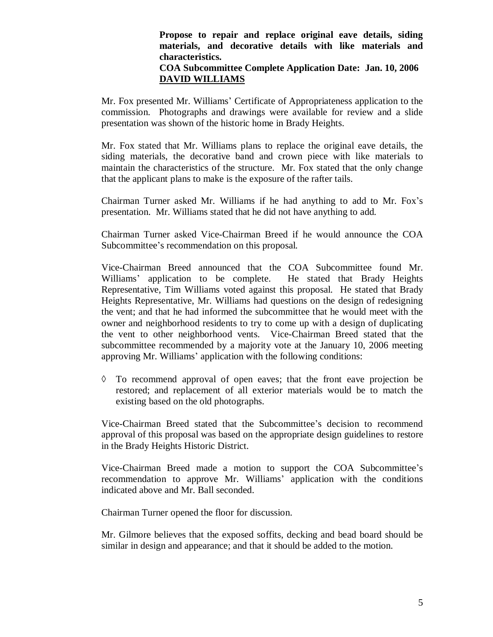### **Propose to repair and replace original eave details, siding materials, and decorative details with like materials and characteristics.**

#### **COA Subcommittee Complete Application Date: Jan. 10, 2006 DAVID WILLIAMS**

Mr. Fox presented Mr. Williams'Certificate of Appropriateness application to the commission. Photographs and drawings were available for review and a slide presentation was shown of the historic home in Brady Heights.

Mr. Fox stated that Mr. Williams plans to replace the original eave details, the siding materials, the decorative band and crown piece with like materials to maintain the characteristics of the structure. Mr. Fox stated that the only change that the applicant plans to make is the exposure of the rafter tails.

Chairman Turner asked Mr. Williams if he had anything to add to Mr. Fox's presentation. Mr. Williams stated that he did not have anything to add.

Chairman Turner asked Vice-Chairman Breed if he would announce the COA Subcommittee's recommendation on this proposal.

Vice-Chairman Breed announced that the COA Subcommittee found Mr. Williams' application to be complete. He stated that Brady Heights Representative, Tim Williams voted against this proposal. He stated that Brady Heights Representative, Mr. Williams had questions on the design of redesigning the vent; and that he had informed the subcommittee that he would meet with the owner and neighborhood residents to try to come up with a design of duplicating the vent to other neighborhood vents. Vice-Chairman Breed stated that the subcommittee recommended by a majority vote at the January 10, 2006 meeting approving Mr. Williams' application with the following conditions:

 $\Diamond$  To recommend approval of open eaves; that the front eave projection be restored; and replacement of all exterior materials would be to match the existing based on the old photographs.

Vice-Chairman Breed stated that the Subcommittee's decision to recommend approval of this proposal was based on the appropriate design guidelines to restore in the Brady Heights Historic District.

Vice-Chairman Breed made a motion to support the COA Subcommittee's recommendation to approve Mr. Williams'application with the conditions indicated above and Mr. Ball seconded.

Chairman Turner opened the floor for discussion.

Mr. Gilmore believes that the exposed soffits, decking and bead board should be similar in design and appearance; and that it should be added to the motion.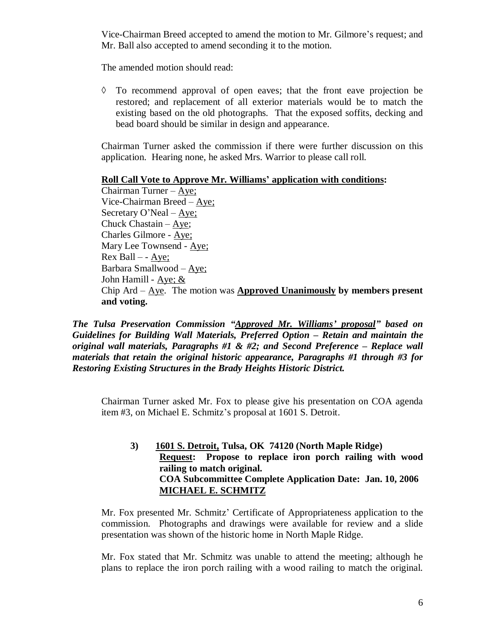Vice-Chairman Breed accepted to amend the motion to Mr. Gilmore's request; and Mr. Ball also accepted to amend seconding it to the motion.

The amended motion should read:

 $\Diamond$  To recommend approval of open eaves; that the front eave projection be restored; and replacement of all exterior materials would be to match the existing based on the old photographs. That the exposed soffits, decking and bead board should be similar in design and appearance.

Chairman Turner asked the commission if there were further discussion on this application. Hearing none, he asked Mrs. Warrior to please call roll.

#### **Roll Call Vote to Approve Mr. Williams' application with conditions:**

Chairman Turner –Aye; Vice-Chairman Breed –Aye; Secretary O'Neal –  $\angle$ Aye; Chuck Chastain –  $Aye$ ; Charles Gilmore - Aye; Mary Lee Townsend - Aye; Rex Ball –- Aye; Barbara Smallwood –Aye; John Hamill - Aye; & Chip Ard –Aye. The motion was **Approved Unanimously by members present and voting.**

*The Tulsa Preservation Commission "Approved Mr. Williams' proposal" based on Guidelines for Building Wall Materials, Preferred Option – Retain and maintain the original wall materials, Paragraphs #1 & #2; and Second Preference – Replace wall materials that retain the original historic appearance, Paragraphs #1 through #3 for Restoring Existing Structures in the Brady Heights Historic District.*

Chairman Turner asked Mr. Fox to please give his presentation on COA agenda item #3, on Michael E. Schmitz's proposal at 1601 S. Detroit.

**3) 1601 S. Detroit, Tulsa, OK 74120 (North Maple Ridge) Request: Propose to replace iron porch railing with wood railing to match original. COA Subcommittee Complete Application Date: Jan. 10, 2006 MICHAEL E. SCHMITZ**

Mr. Fox presented Mr. Schmitz'Certificate of Appropriateness application to the commission. Photographs and drawings were available for review and a slide presentation was shown of the historic home in North Maple Ridge.

Mr. Fox stated that Mr. Schmitz was unable to attend the meeting; although he plans to replace the iron porch railing with a wood railing to match the original.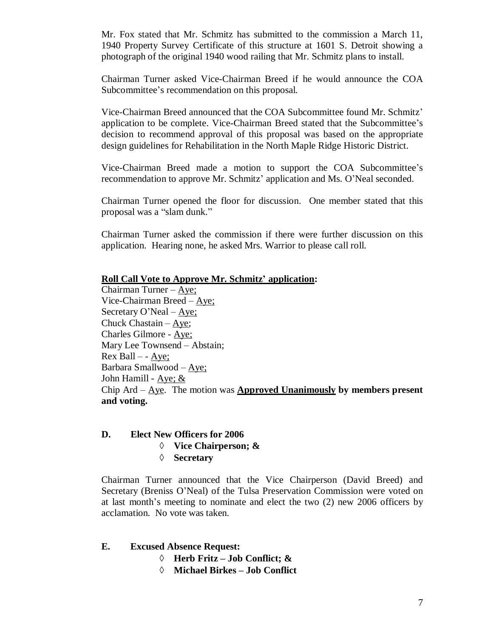Mr. Fox stated that Mr. Schmitz has submitted to the commission a March 11, 1940 Property Survey Certificate of this structure at 1601 S. Detroit showing a photograph of the original 1940 wood railing that Mr. Schmitz plans to install.

Chairman Turner asked Vice-Chairman Breed if he would announce the COA Subcommittee's recommendation on this proposal.

Vice-Chairman Breed announced that the COA Subcommittee found Mr. Schmitz' application to be complete. Vice-Chairman Breed stated that the Subcommittee's decision to recommend approval of this proposal was based on the appropriate design guidelines for Rehabilitation in the North Maple Ridge Historic District.

Vice-Chairman Breed made a motion to support the COA Subcommittee's recommendation to approve Mr. Schmitz' application and Ms. O'Neal seconded.

Chairman Turner opened the floor for discussion. One member stated that this proposal was a "slam dunk."

Chairman Turner asked the commission if there were further discussion on this application. Hearing none, he asked Mrs. Warrior to please call roll.

#### **Roll Call Vote to Approve Mr. Schmitz' application:**

Chairman Turner –Aye; Vice-Chairman Breed –Aye; Secretary O'Neal –  $\angle$ Aye; Chuck Chastain –Aye; Charles Gilmore - Aye; Mary Lee Townsend – Abstain;  $Rex$  Ball – -  $Aye$ ; Barbara Smallwood –Aye; John Hamill - Aye; & Chip Ard –Aye. The motion was **Approved Unanimously by members present and voting.**

### **D. Elect New Officers for 2006**

- **Vice Chairperson; &**
- **Secretary**

Chairman Turner announced that the Vice Chairperson (David Breed) and Secretary (Breniss O'Neal) of the Tulsa Preservation Commission were voted on at last month's meeting to nominate and elect the two (2) new 2006 officers by acclamation. No vote was taken.

- **E. Excused Absence Request:**
	- **Herb Fritz – Job Conflict; &**
	- **Michael Birkes – Job Conflict**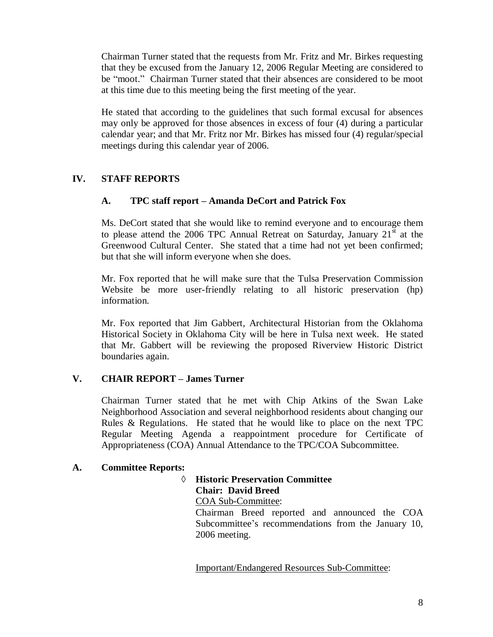Chairman Turner stated that the requests from Mr. Fritz and Mr. Birkes requesting that they be excused from the January 12, 2006 Regular Meeting are considered to be "moot." Chairman Turner stated that their absences are considered to be moot at this time due to this meeting being the first meeting of the year.

He stated that according to the guidelines that such formal excusal for absences may only be approved for those absences in excess of four (4) during a particular calendar year; and that Mr. Fritz nor Mr. Birkes has missed four (4) regular/special meetings during this calendar year of 2006.

# **IV. STAFF REPORTS**

# **A. TPC staff report – Amanda DeCort and Patrick Fox**

Ms. DeCort stated that she would like to remind everyone and to encourage them to please attend the 2006 TPC Annual Retreat on Saturday, January  $21^{\text{st}}$  at the Greenwood Cultural Center. She stated that a time had not yet been confirmed; but that she will inform everyone when she does.

Mr. Fox reported that he will make sure that the Tulsa Preservation Commission Website be more user-friendly relating to all historic preservation (hp) information.

Mr. Fox reported that Jim Gabbert, Architectural Historian from the Oklahoma Historical Society in Oklahoma City will be here in Tulsa next week. He stated that Mr. Gabbert will be reviewing the proposed Riverview Historic District boundaries again.

### **V. CHAIR REPORT –James Turner**

Chairman Turner stated that he met with Chip Atkins of the Swan Lake Neighborhood Association and several neighborhood residents about changing our Rules & Regulations. He stated that he would like to place on the next TPC Regular Meeting Agenda a reappointment procedure for Certificate of Appropriateness (COA) Annual Attendance to the TPC/COA Subcommittee.

### **A. Committee Reports:**

# **Historic Preservation Committee Chair: David Breed** COA Sub-Committee:

Chairman Breed reported and announced the COA Subcommittee's recommendations from the January 10, 2006 meeting.

Important/Endangered Resources Sub-Committee: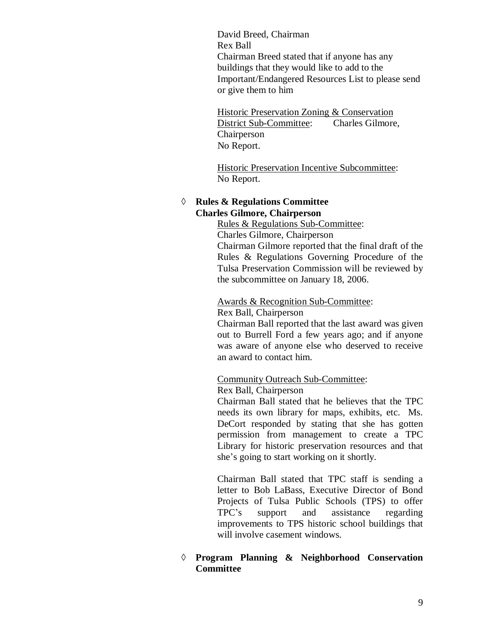David Breed, Chairman Rex Ball Chairman Breed stated that if anyone has any buildings that they would like to add to the Important/Endangered Resources List to please send or give them to him

Historic Preservation Zoning & Conservation District Sub-Committee: Charles Gilmore, Chairperson No Report.

Historic Preservation Incentive Subcommittee: No Report.

#### **Rules & Regulations Committee Charles Gilmore, Chairperson**

Rules & Regulations Sub-Committee:

Charles Gilmore, Chairperson

Chairman Gilmore reported that the final draft of the Rules & Regulations Governing Procedure of the Tulsa Preservation Commission will be reviewed by the subcommittee on January 18, 2006.

#### Awards & Recognition Sub-Committee:

Rex Ball, Chairperson

Chairman Ball reported that the last award was given out to Burrell Ford a few years ago; and if anyone was aware of anyone else who deserved to receive an award to contact him.

Community Outreach Sub-Committee:

Rex Ball, Chairperson

Chairman Ball stated that he believes that the TPC needs its own library for maps, exhibits, etc. Ms. DeCort responded by stating that she has gotten permission from management to create a TPC Library for historic preservation resources and that she's going to start working on it shortly.

Chairman Ball stated that TPC staff is sending a letter to Bob LaBass, Executive Director of Bond Projects of Tulsa Public Schools (TPS) to offer TPC's support and assistance regarding improvements to TPS historic school buildings that will involve casement windows.

# **Program Planning & Neighborhood Conservation Committee**